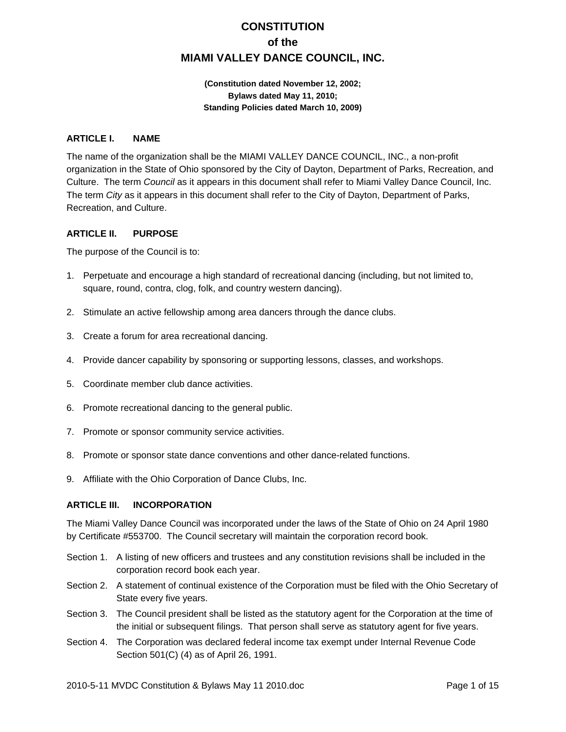# **CONSTITUTION of the MIAMI VALLEY DANCE COUNCIL, INC.**

**(Constitution dated November 12, 2002; Bylaws dated May 11, 2010; Standing Policies dated March 10, 2009)** 

### **ARTICLE I. NAME**

The name of the organization shall be the MIAMI VALLEY DANCE COUNCIL, INC., a non-profit organization in the State of Ohio sponsored by the City of Dayton, Department of Parks, Recreation, and Culture. The term *Council* as it appears in this document shall refer to Miami Valley Dance Council, Inc. The term *City* as it appears in this document shall refer to the City of Dayton, Department of Parks, Recreation, and Culture.

### **ARTICLE II. PURPOSE**

The purpose of the Council is to:

- 1. Perpetuate and encourage a high standard of recreational dancing (including, but not limited to, square, round, contra, clog, folk, and country western dancing).
- 2. Stimulate an active fellowship among area dancers through the dance clubs.
- 3. Create a forum for area recreational dancing.
- 4. Provide dancer capability by sponsoring or supporting lessons, classes, and workshops.
- 5. Coordinate member club dance activities.
- 6. Promote recreational dancing to the general public.
- 7. Promote or sponsor community service activities.
- 8. Promote or sponsor state dance conventions and other dance-related functions.
- 9. Affiliate with the Ohio Corporation of Dance Clubs, Inc.

### **ARTICLE III. INCORPORATION**

The Miami Valley Dance Council was incorporated under the laws of the State of Ohio on 24 April 1980 by Certificate #553700. The Council secretary will maintain the corporation record book.

- Section 1. A listing of new officers and trustees and any constitution revisions shall be included in the corporation record book each year.
- Section 2. A statement of continual existence of the Corporation must be filed with the Ohio Secretary of State every five years.
- Section 3. The Council president shall be listed as the statutory agent for the Corporation at the time of the initial or subsequent filings. That person shall serve as statutory agent for five years.
- Section 4. The Corporation was declared federal income tax exempt under Internal Revenue Code Section 501(C) (4) as of April 26, 1991.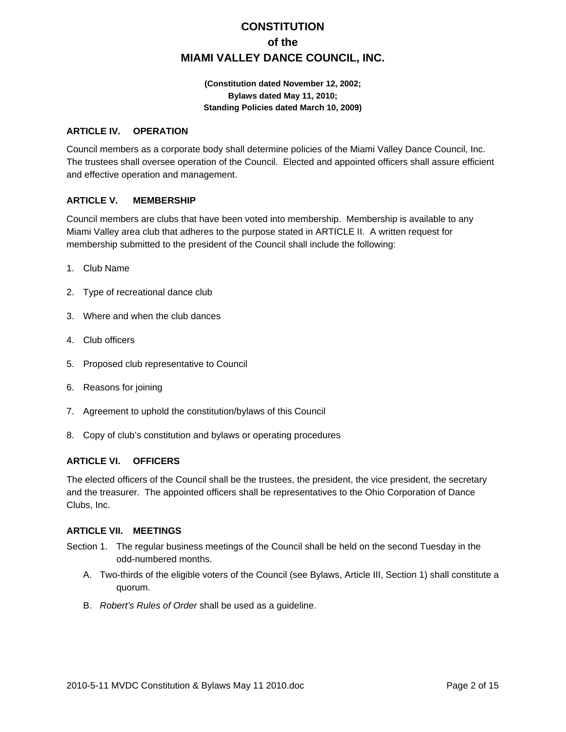# **CONSTITUTION of the MIAMI VALLEY DANCE COUNCIL, INC.**

### **(Constitution dated November 12, 2002; Bylaws dated May 11, 2010; Standing Policies dated March 10, 2009)**

### **ARTICLE IV. OPERATION**

Council members as a corporate body shall determine policies of the Miami Valley Dance Council, Inc. The trustees shall oversee operation of the Council. Elected and appointed officers shall assure efficient and effective operation and management.

## **ARTICLE V. MEMBERSHIP**

Council members are clubs that have been voted into membership. Membership is available to any Miami Valley area club that adheres to the purpose stated in ARTICLE II. A written request for membership submitted to the president of the Council shall include the following:

- 1. Club Name
- 2. Type of recreational dance club
- 3. Where and when the club dances
- 4. Club officers
- 5. Proposed club representative to Council
- 6. Reasons for joining
- 7. Agreement to uphold the constitution/bylaws of this Council
- 8. Copy of club's constitution and bylaws or operating procedures

### **ARTICLE VI. OFFICERS**

The elected officers of the Council shall be the trustees, the president, the vice president, the secretary and the treasurer. The appointed officers shall be representatives to the Ohio Corporation of Dance Clubs, Inc.

### **ARTICLE VII. MEETINGS**

- Section 1. The regular business meetings of the Council shall be held on the second Tuesday in the odd-numbered months.
	- A. Two-thirds of the eligible voters of the Council (see Bylaws, Article III, Section 1) shall constitute a quorum.
	- B. *Robert's Rules of Order* shall be used as a guideline.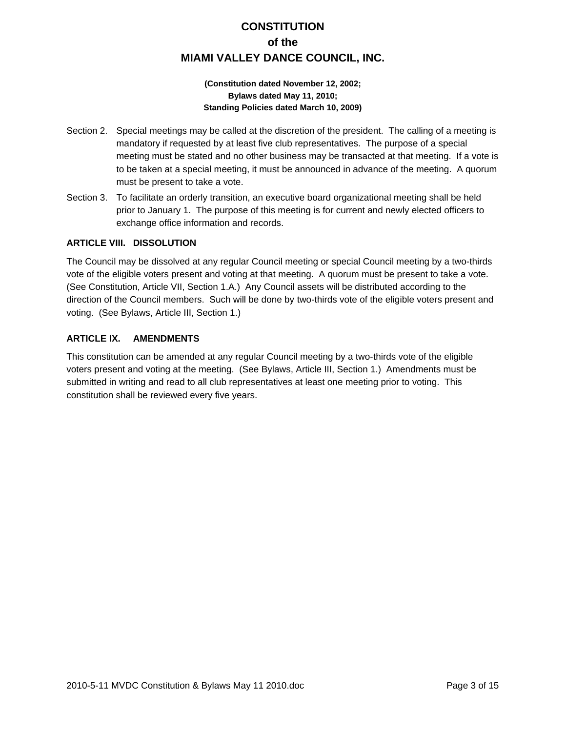# **CONSTITUTION of the MIAMI VALLEY DANCE COUNCIL, INC.**

## **(Constitution dated November 12, 2002; Bylaws dated May 11, 2010; Standing Policies dated March 10, 2009)**

- Section 2. Special meetings may be called at the discretion of the president. The calling of a meeting is mandatory if requested by at least five club representatives. The purpose of a special meeting must be stated and no other business may be transacted at that meeting. If a vote is to be taken at a special meeting, it must be announced in advance of the meeting. A quorum must be present to take a vote.
- Section 3. To facilitate an orderly transition, an executive board organizational meeting shall be held prior to January 1. The purpose of this meeting is for current and newly elected officers to exchange office information and records.

## **ARTICLE VIII. DISSOLUTION**

The Council may be dissolved at any regular Council meeting or special Council meeting by a two-thirds vote of the eligible voters present and voting at that meeting. A quorum must be present to take a vote. (See Constitution, Article VII, Section 1.A.) Any Council assets will be distributed according to the direction of the Council members. Such will be done by two-thirds vote of the eligible voters present and voting. (See Bylaws, Article III, Section 1.)

## **ARTICLE IX. AMENDMENTS**

This constitution can be amended at any regular Council meeting by a two-thirds vote of the eligible voters present and voting at the meeting. (See Bylaws, Article III, Section 1.) Amendments must be submitted in writing and read to all club representatives at least one meeting prior to voting. This constitution shall be reviewed every five years.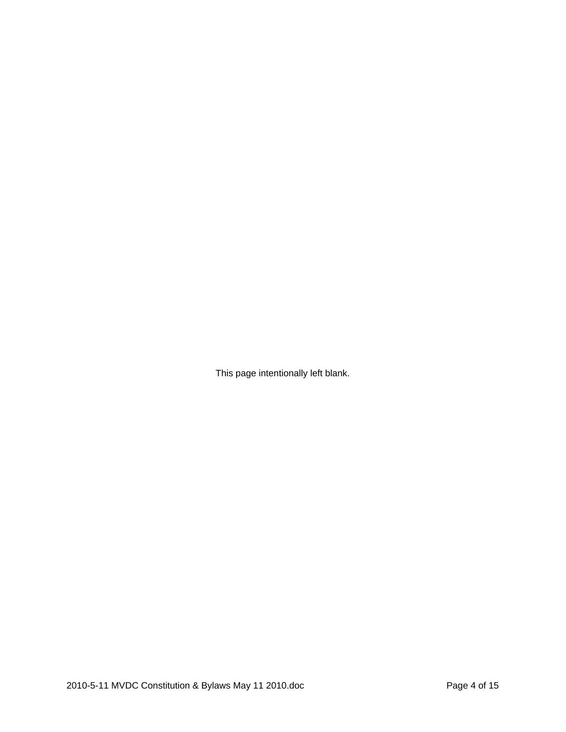This page intentionally left blank.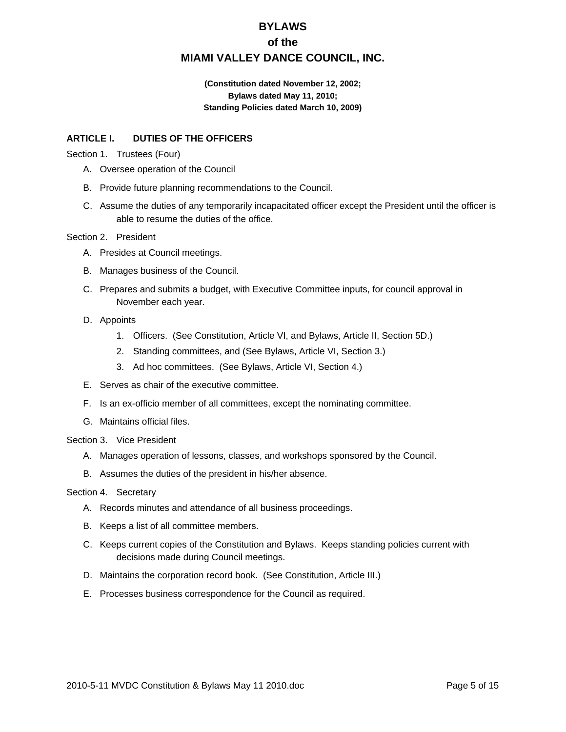**(Constitution dated November 12, 2002; Bylaws dated May 11, 2010; Standing Policies dated March 10, 2009)** 

### **ARTICLE I. DUTIES OF THE OFFICERS**

Section 1. Trustees (Four)

- A. Oversee operation of the Council
- B. Provide future planning recommendations to the Council.
- C. Assume the duties of any temporarily incapacitated officer except the President until the officer is able to resume the duties of the office.

### Section 2. President

- A. Presides at Council meetings.
- B. Manages business of the Council.
- C. Prepares and submits a budget, with Executive Committee inputs, for council approval in November each year.
- D. Appoints
	- 1. Officers. (See Constitution, Article VI, and Bylaws, Article II, Section 5D.)
	- 2. Standing committees, and (See Bylaws, Article VI, Section 3.)
	- 3. Ad hoc committees. (See Bylaws, Article VI, Section 4.)
- E. Serves as chair of the executive committee.
- F. Is an ex-officio member of all committees, except the nominating committee.
- G. Maintains official files.
- Section 3. Vice President
	- A. Manages operation of lessons, classes, and workshops sponsored by the Council.
	- B. Assumes the duties of the president in his/her absence.

### Section 4. Secretary

- A. Records minutes and attendance of all business proceedings.
- B. Keeps a list of all committee members.
- C. Keeps current copies of the Constitution and Bylaws. Keeps standing policies current with decisions made during Council meetings.
- D. Maintains the corporation record book. (See Constitution, Article III.)
- E. Processes business correspondence for the Council as required.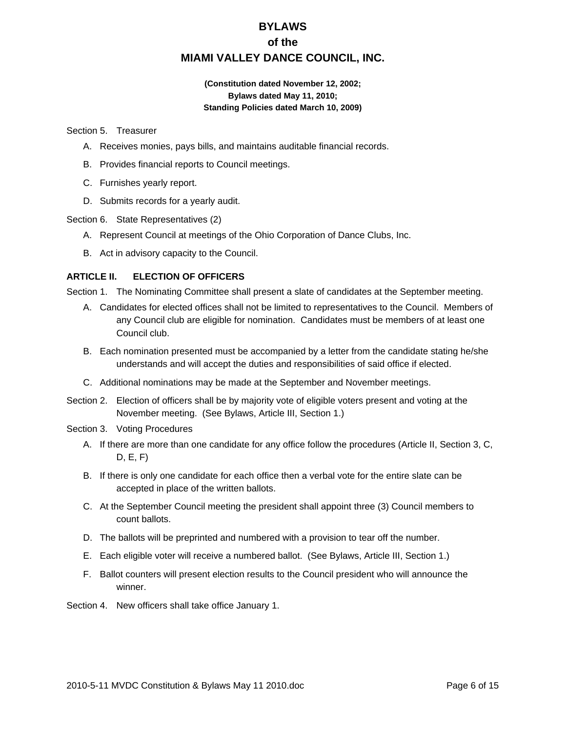## **(Constitution dated November 12, 2002; Bylaws dated May 11, 2010; Standing Policies dated March 10, 2009)**

### Section 5. Treasurer

- A. Receives monies, pays bills, and maintains auditable financial records.
- B. Provides financial reports to Council meetings.
- C. Furnishes yearly report.
- D. Submits records for a yearly audit.

Section 6. State Representatives (2)

- A. Represent Council at meetings of the Ohio Corporation of Dance Clubs, Inc.
- B. Act in advisory capacity to the Council.

## **ARTICLE II. ELECTION OF OFFICERS**

Section 1. The Nominating Committee shall present a slate of candidates at the September meeting.

- A. Candidates for elected offices shall not be limited to representatives to the Council. Members of any Council club are eligible for nomination. Candidates must be members of at least one Council club.
- B. Each nomination presented must be accompanied by a letter from the candidate stating he/she understands and will accept the duties and responsibilities of said office if elected.
- C. Additional nominations may be made at the September and November meetings.
- Section 2. Election of officers shall be by majority vote of eligible voters present and voting at the November meeting. (See Bylaws, Article III, Section 1.)
- Section 3. Voting Procedures
	- A. If there are more than one candidate for any office follow the procedures (Article II, Section 3, C, D, E, F)
	- B. If there is only one candidate for each office then a verbal vote for the entire slate can be accepted in place of the written ballots.
	- C. At the September Council meeting the president shall appoint three (3) Council members to count ballots.
	- D. The ballots will be preprinted and numbered with a provision to tear off the number.
	- E. Each eligible voter will receive a numbered ballot. (See Bylaws, Article III, Section 1.)
	- F. Ballot counters will present election results to the Council president who will announce the winner.

Section 4. New officers shall take office January 1.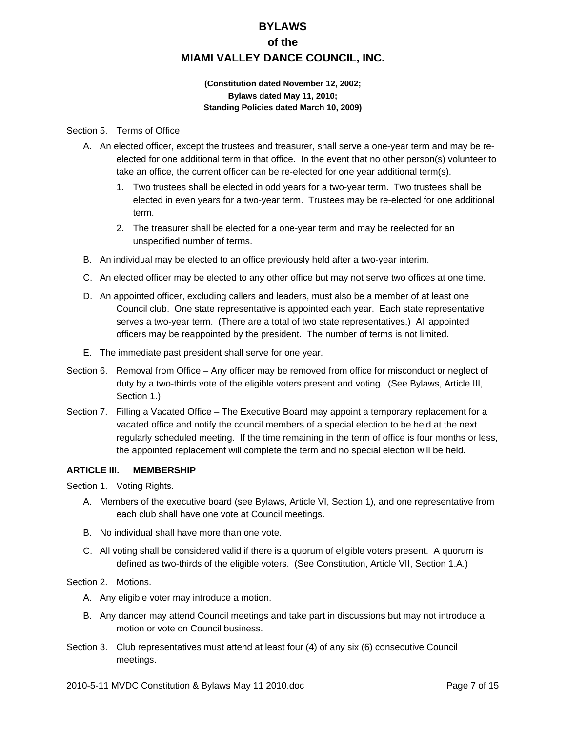## **(Constitution dated November 12, 2002; Bylaws dated May 11, 2010; Standing Policies dated March 10, 2009)**

### Section 5. Terms of Office

- A. An elected officer, except the trustees and treasurer, shall serve a one-year term and may be reelected for one additional term in that office. In the event that no other person(s) volunteer to take an office, the current officer can be re-elected for one year additional term(s).
	- 1. Two trustees shall be elected in odd years for a two-year term. Two trustees shall be elected in even years for a two-year term. Trustees may be re-elected for one additional term.
	- 2. The treasurer shall be elected for a one-year term and may be reelected for an unspecified number of terms.
- B. An individual may be elected to an office previously held after a two-year interim.
- C. An elected officer may be elected to any other office but may not serve two offices at one time.
- D. An appointed officer, excluding callers and leaders, must also be a member of at least one Council club. One state representative is appointed each year. Each state representative serves a two-year term. (There are a total of two state representatives.) All appointed officers may be reappointed by the president. The number of terms is not limited.
- E. The immediate past president shall serve for one year.
- Section 6. Removal from Office Any officer may be removed from office for misconduct or neglect of duty by a two-thirds vote of the eligible voters present and voting. (See Bylaws, Article III, Section 1.)
- Section 7. Filling a Vacated Office The Executive Board may appoint a temporary replacement for a vacated office and notify the council members of a special election to be held at the next regularly scheduled meeting. If the time remaining in the term of office is four months or less, the appointed replacement will complete the term and no special election will be held.

### **ARTICLE III. MEMBERSHIP**

Section 1. Voting Rights.

- A. Members of the executive board (see Bylaws, Article VI, Section 1), and one representative from each club shall have one vote at Council meetings.
- B. No individual shall have more than one vote.
- C. All voting shall be considered valid if there is a quorum of eligible voters present. A quorum is defined as two-thirds of the eligible voters. (See Constitution, Article VII, Section 1.A.)

#### Section 2. Motions.

- A. Any eligible voter may introduce a motion.
- B. Any dancer may attend Council meetings and take part in discussions but may not introduce a motion or vote on Council business.
- Section 3. Club representatives must attend at least four (4) of any six (6) consecutive Council meetings.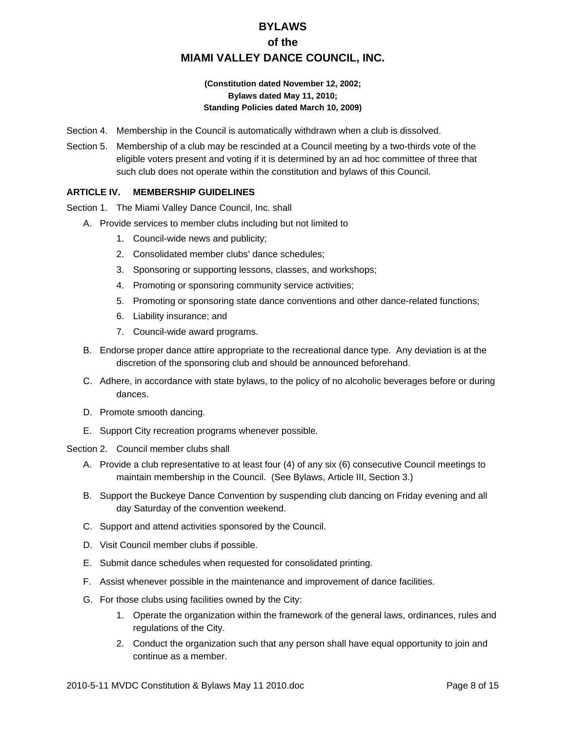## **(Constitution dated November 12, 2002; Bylaws dated May 11, 2010; Standing Policies dated March 10, 2009)**

- Section 4. Membership in the Council is automatically withdrawn when a club is dissolved.
- Section 5. Membership of a club may be rescinded at a Council meeting by a two-thirds vote of the eligible voters present and voting if it is determined by an ad hoc committee of three that such club does not operate within the constitution and bylaws of this Council.

### **ARTICLE IV. MEMBERSHIP GUIDELINES**

- Section 1. The Miami Valley Dance Council, Inc. shall
	- A. Provide services to member clubs including but not limited to
		- 1. Council-wide news and publicity;
		- 2. Consolidated member clubs' dance schedules;
		- 3. Sponsoring or supporting lessons, classes, and workshops;
		- 4. Promoting or sponsoring community service activities;
		- 5. Promoting or sponsoring state dance conventions and other dance-related functions;
		- 6. Liability insurance; and
		- 7. Council-wide award programs.
	- B. Endorse proper dance attire appropriate to the recreational dance type. Any deviation is at the discretion of the sponsoring club and should be announced beforehand.
	- C. Adhere, in accordance with state bylaws, to the policy of no alcoholic beverages before or during dances.
	- D. Promote smooth dancing.
	- E. Support City recreation programs whenever possible.

### Section 2. Council member clubs shall

- A. Provide a club representative to at least four (4) of any six (6) consecutive Council meetings to maintain membership in the Council. (See Bylaws, Article III, Section 3.)
- B. Support the Buckeye Dance Convention by suspending club dancing on Friday evening and all day Saturday of the convention weekend.
- C. Support and attend activities sponsored by the Council.
- D. Visit Council member clubs if possible.
- E. Submit dance schedules when requested for consolidated printing.
- F. Assist whenever possible in the maintenance and improvement of dance facilities.
- G. For those clubs using facilities owned by the City:
	- 1. Operate the organization within the framework of the general laws, ordinances, rules and regulations of the City.
	- 2. Conduct the organization such that any person shall have equal opportunity to join and continue as a member.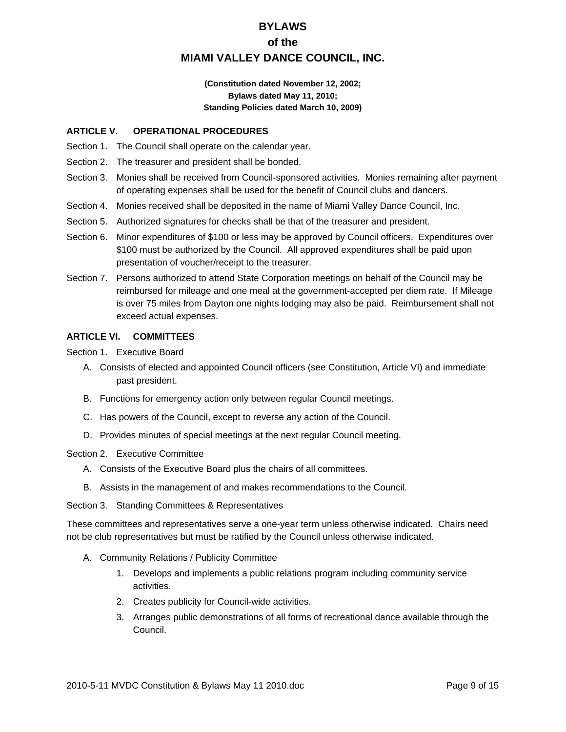## **(Constitution dated November 12, 2002; Bylaws dated May 11, 2010; Standing Policies dated March 10, 2009)**

### **ARTICLE V. OPERATIONAL PROCEDURES**

- Section 1. The Council shall operate on the calendar year.
- Section 2. The treasurer and president shall be bonded.
- Section 3. Monies shall be received from Council-sponsored activities. Monies remaining after payment of operating expenses shall be used for the benefit of Council clubs and dancers.
- Section 4. Monies received shall be deposited in the name of Miami Valley Dance Council, Inc.
- Section 5. Authorized signatures for checks shall be that of the treasurer and president.
- Section 6. Minor expenditures of \$100 or less may be approved by Council officers. Expenditures over \$100 must be authorized by the Council. All approved expenditures shall be paid upon presentation of voucher/receipt to the treasurer.
- Section 7. Persons authorized to attend State Corporation meetings on behalf of the Council may be reimbursed for mileage and one meal at the government-accepted per diem rate. If Mileage is over 75 miles from Dayton one nights lodging may also be paid. Reimbursement shall not exceed actual expenses.

### **ARTICLE VI. COMMITTEES**

### Section 1. Executive Board

- A. Consists of elected and appointed Council officers (see Constitution, Article VI) and immediate past president.
- B. Functions for emergency action only between regular Council meetings.
- C. Has powers of the Council, except to reverse any action of the Council.
- D. Provides minutes of special meetings at the next regular Council meeting.

### Section 2. Executive Committee

- A. Consists of the Executive Board plus the chairs of all committees.
- B. Assists in the management of and makes recommendations to the Council.

Section 3. Standing Committees & Representatives

These committees and representatives serve a one-year term unless otherwise indicated. Chairs need not be club representatives but must be ratified by the Council unless otherwise indicated.

- A. Community Relations / Publicity Committee
	- 1. Develops and implements a public relations program including community service activities.
	- 2. Creates publicity for Council-wide activities.
	- 3. Arranges public demonstrations of all forms of recreational dance available through the Council.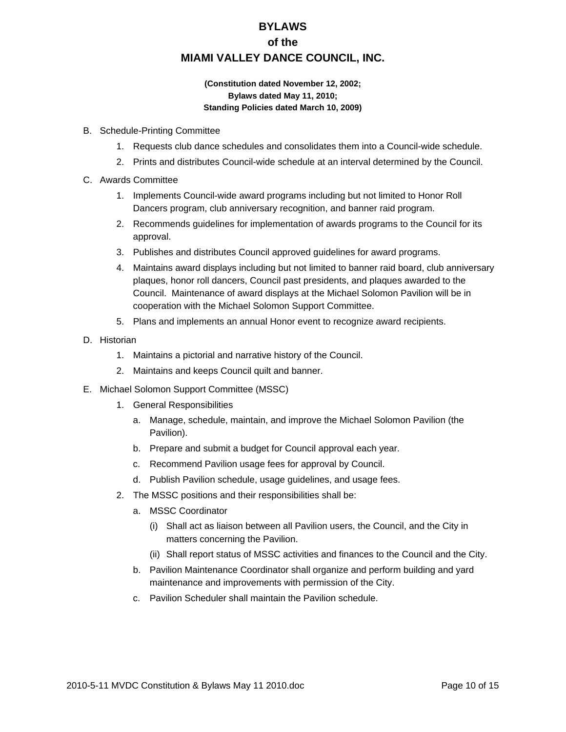- B. Schedule-Printing Committee
	- 1. Requests club dance schedules and consolidates them into a Council-wide schedule.
	- 2. Prints and distributes Council-wide schedule at an interval determined by the Council.
- C. Awards Committee
	- 1. Implements Council-wide award programs including but not limited to Honor Roll Dancers program, club anniversary recognition, and banner raid program.
	- 2. Recommends guidelines for implementation of awards programs to the Council for its approval.
	- 3. Publishes and distributes Council approved guidelines for award programs.
	- 4. Maintains award displays including but not limited to banner raid board, club anniversary plaques, honor roll dancers, Council past presidents, and plaques awarded to the Council. Maintenance of award displays at the Michael Solomon Pavilion will be in cooperation with the Michael Solomon Support Committee.
	- 5. Plans and implements an annual Honor event to recognize award recipients.
- D. Historian
	- 1. Maintains a pictorial and narrative history of the Council.
	- 2. Maintains and keeps Council quilt and banner.
- E. Michael Solomon Support Committee (MSSC)
	- 1. General Responsibilities
		- a. Manage, schedule, maintain, and improve the Michael Solomon Pavilion (the Pavilion).
		- b. Prepare and submit a budget for Council approval each year.
		- c. Recommend Pavilion usage fees for approval by Council.
		- d. Publish Pavilion schedule, usage guidelines, and usage fees.
	- 2. The MSSC positions and their responsibilities shall be:
		- a. MSSC Coordinator
			- (i) Shall act as liaison between all Pavilion users, the Council, and the City in matters concerning the Pavilion.
			- (ii) Shall report status of MSSC activities and finances to the Council and the City.
		- b. Pavilion Maintenance Coordinator shall organize and perform building and yard maintenance and improvements with permission of the City.
		- c. Pavilion Scheduler shall maintain the Pavilion schedule.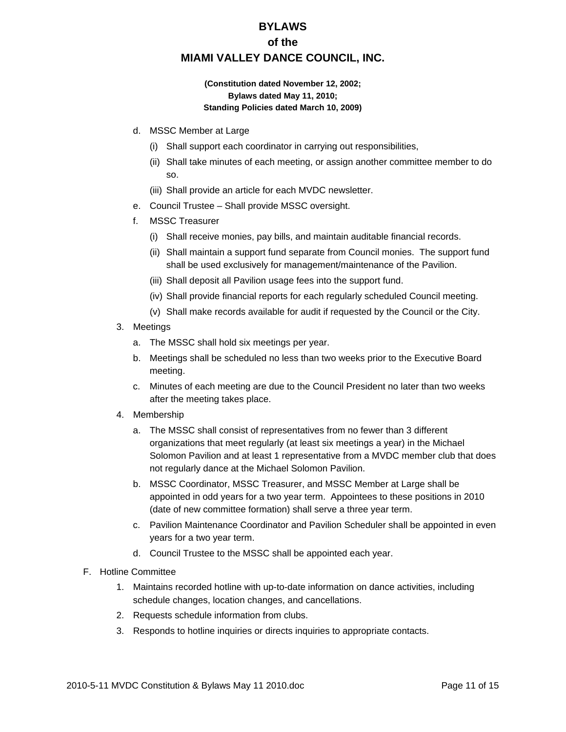- d. MSSC Member at Large
	- (i) Shall support each coordinator in carrying out responsibilities,
	- (ii) Shall take minutes of each meeting, or assign another committee member to do so.
	- (iii) Shall provide an article for each MVDC newsletter.
- e. Council Trustee Shall provide MSSC oversight.
- f. MSSC Treasurer
	- (i) Shall receive monies, pay bills, and maintain auditable financial records.
	- (ii) Shall maintain a support fund separate from Council monies. The support fund shall be used exclusively for management/maintenance of the Pavilion.
	- (iii) Shall deposit all Pavilion usage fees into the support fund.
	- (iv) Shall provide financial reports for each regularly scheduled Council meeting.
	- (v) Shall make records available for audit if requested by the Council or the City.
- 3. Meetings
	- a. The MSSC shall hold six meetings per year.
	- b. Meetings shall be scheduled no less than two weeks prior to the Executive Board meeting.
	- c. Minutes of each meeting are due to the Council President no later than two weeks after the meeting takes place.
- 4. Membership
	- a. The MSSC shall consist of representatives from no fewer than 3 different organizations that meet regularly (at least six meetings a year) in the Michael Solomon Pavilion and at least 1 representative from a MVDC member club that does not regularly dance at the Michael Solomon Pavilion.
	- b. MSSC Coordinator, MSSC Treasurer, and MSSC Member at Large shall be appointed in odd years for a two year term. Appointees to these positions in 2010 (date of new committee formation) shall serve a three year term.
	- c. Pavilion Maintenance Coordinator and Pavilion Scheduler shall be appointed in even years for a two year term.
	- d. Council Trustee to the MSSC shall be appointed each year.
- F. Hotline Committee
	- 1. Maintains recorded hotline with up-to-date information on dance activities, including schedule changes, location changes, and cancellations.
	- 2. Requests schedule information from clubs.
	- 3. Responds to hotline inquiries or directs inquiries to appropriate contacts.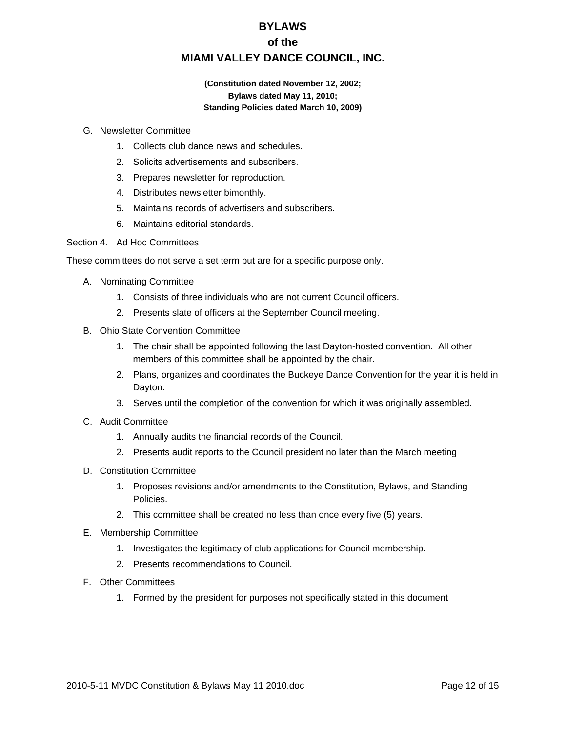## **(Constitution dated November 12, 2002; Bylaws dated May 11, 2010; Standing Policies dated March 10, 2009)**

### G. Newsletter Committee

- 1. Collects club dance news and schedules.
- 2. Solicits advertisements and subscribers.
- 3. Prepares newsletter for reproduction.
- 4. Distributes newsletter bimonthly.
- 5. Maintains records of advertisers and subscribers.
- 6. Maintains editorial standards.

Section 4. Ad Hoc Committees

These committees do not serve a set term but are for a specific purpose only.

- A. Nominating Committee
	- 1. Consists of three individuals who are not current Council officers.
	- 2. Presents slate of officers at the September Council meeting.
- B. Ohio State Convention Committee
	- 1. The chair shall be appointed following the last Dayton-hosted convention. All other members of this committee shall be appointed by the chair.
	- 2. Plans, organizes and coordinates the Buckeye Dance Convention for the year it is held in Dayton.
	- 3. Serves until the completion of the convention for which it was originally assembled.
- C. Audit Committee
	- 1. Annually audits the financial records of the Council.
	- 2. Presents audit reports to the Council president no later than the March meeting
- D. Constitution Committee
	- 1. Proposes revisions and/or amendments to the Constitution, Bylaws, and Standing Policies.
	- 2. This committee shall be created no less than once every five (5) years.
- E. Membership Committee
	- 1. Investigates the legitimacy of club applications for Council membership.
	- 2. Presents recommendations to Council.
- F. Other Committees
	- 1. Formed by the president for purposes not specifically stated in this document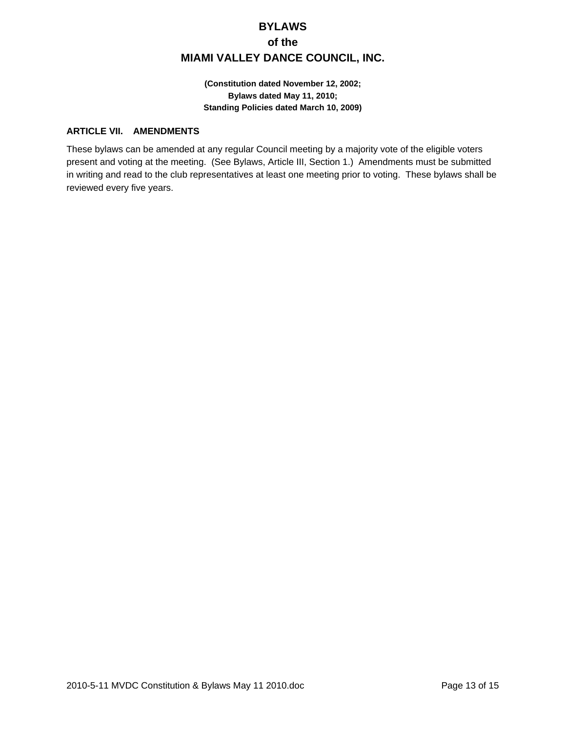**(Constitution dated November 12, 2002; Bylaws dated May 11, 2010; Standing Policies dated March 10, 2009)** 

### **ARTICLE VII. AMENDMENTS**

These bylaws can be amended at any regular Council meeting by a majority vote of the eligible voters present and voting at the meeting. (See Bylaws, Article III, Section 1.) Amendments must be submitted in writing and read to the club representatives at least one meeting prior to voting. These bylaws shall be reviewed every five years.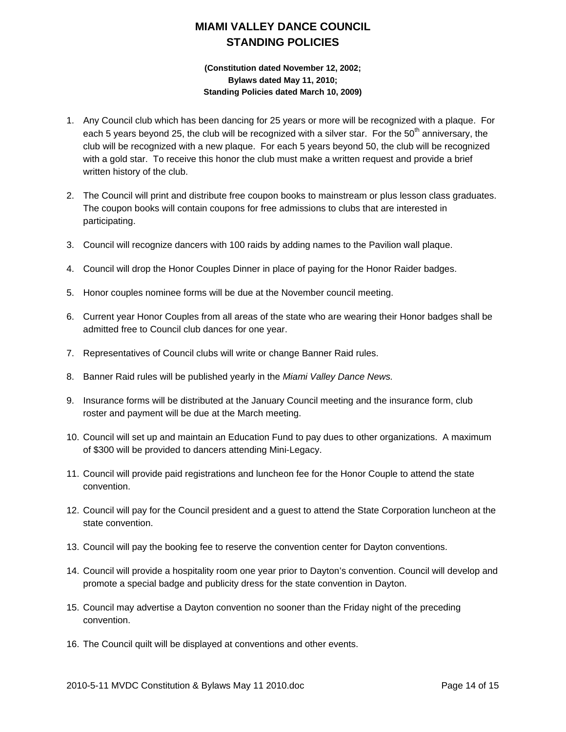# **MIAMI VALLEY DANCE COUNCIL STANDING POLICIES**

- 1. Any Council club which has been dancing for 25 years or more will be recognized with a plaque. For each 5 years beyond 25, the club will be recognized with a silver star. For the 50<sup>th</sup> anniversary, the club will be recognized with a new plaque. For each 5 years beyond 50, the club will be recognized with a gold star. To receive this honor the club must make a written request and provide a brief written history of the club.
- 2. The Council will print and distribute free coupon books to mainstream or plus lesson class graduates. The coupon books will contain coupons for free admissions to clubs that are interested in participating.
- 3. Council will recognize dancers with 100 raids by adding names to the Pavilion wall plaque.
- 4. Council will drop the Honor Couples Dinner in place of paying for the Honor Raider badges.
- 5. Honor couples nominee forms will be due at the November council meeting.
- 6. Current year Honor Couples from all areas of the state who are wearing their Honor badges shall be admitted free to Council club dances for one year.
- 7. Representatives of Council clubs will write or change Banner Raid rules.
- 8. Banner Raid rules will be published yearly in the *Miami Valley Dance News.*
- 9. Insurance forms will be distributed at the January Council meeting and the insurance form, club roster and payment will be due at the March meeting.
- 10. Council will set up and maintain an Education Fund to pay dues to other organizations. A maximum of \$300 will be provided to dancers attending Mini-Legacy.
- 11. Council will provide paid registrations and luncheon fee for the Honor Couple to attend the state convention.
- 12. Council will pay for the Council president and a guest to attend the State Corporation luncheon at the state convention.
- 13. Council will pay the booking fee to reserve the convention center for Dayton conventions.
- 14. Council will provide a hospitality room one year prior to Dayton's convention. Council will develop and promote a special badge and publicity dress for the state convention in Dayton.
- 15. Council may advertise a Dayton convention no sooner than the Friday night of the preceding convention.
- 16. The Council quilt will be displayed at conventions and other events.